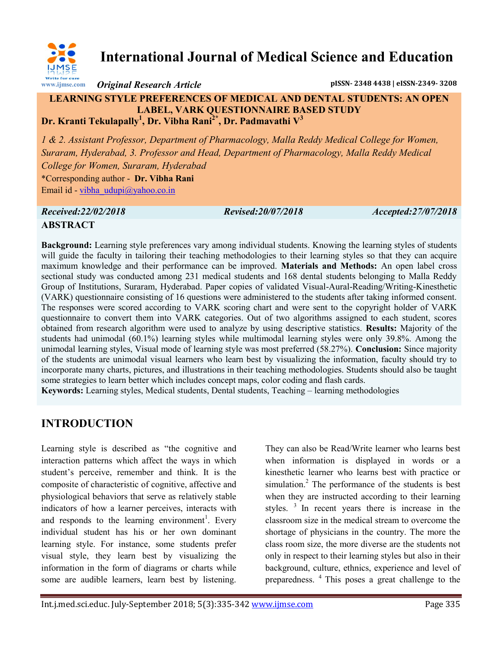

**International Journal of Medical Science and Education**

*Original Research Article* **pISSN- 2348 4438 | eISSN-2349- 3208**

## **LEARNING STYLE PREFERENCES OF MEDICAL AND DENTAL STUDENTS: AN OPEN LABEL, VARK QUESTIONNAIRE BASED STUDY Dr. Kranti Tekulapally<sup>1</sup> , Dr. Vibha Rani2\*, Dr. Padmavathi V<sup>3</sup>**

*1 & 2. Assistant Professor, Department of Pharmacology, Malla Reddy Medical College for Women, Suraram, Hyderabad, 3. Professor and Head, Department of Pharmacology, Malla Reddy Medical College for Women, Suraram, Hyderabad* \*Corresponding author - **Dr. Vibha Rani** Email id - [vibha\\_udupi@yahoo.co.in](mailto:vibha_udupi@yahoo.co.in)

*Received:22/02/2018 Revised:20/07/2018 Accepted:27/07/2018*

# **ABSTRACT**

**Background:** Learning style preferences vary among individual students. Knowing the learning styles of students will guide the faculty in tailoring their teaching methodologies to their learning styles so that they can acquire maximum knowledge and their performance can be improved. **Materials and Methods:** An open label cross sectional study was conducted among 231 medical students and 168 dental students belonging to Malla Reddy Group of Institutions, Suraram, Hyderabad. Paper copies of validated Visual-Aural-Reading/Writing-Kinesthetic (VARK) questionnaire consisting of 16 questions were administered to the students after taking informed consent. The responses were scored according to VARK scoring chart and were sent to the copyright holder of VARK questionnaire to convert them into VARK categories. Out of two algorithms assigned to each student, scores obtained from research algorithm were used to analyze by using descriptive statistics. **Results:** Majority of the students had unimodal (60.1%) learning styles while multimodal learning styles were only 39.8%. Among the unimodal learning styles, Visual mode of learning style was most preferred (58.27%). **Conclusion:** Since majority of the students are unimodal visual learners who learn best by visualizing the information, faculty should try to incorporate many charts, pictures, and illustrations in their teaching methodologies. Students should also be taught some strategies to learn better which includes concept maps, color coding and flash cards.

**Keywords:** Learning styles, Medical students, Dental students, Teaching – learning methodologies

# **INTRODUCTION**

Learning style is described as "the cognitive and interaction patterns which affect the ways in which student's perceive, remember and think. It is the composite of characteristic of cognitive, affective and physiological behaviors that serve as relatively stable indicators of how a learner perceives, interacts with and responds to the learning environment<sup>1</sup>. Every individual student has his or her own dominant learning style. For instance, some students prefer visual style, they learn best by visualizing the information in the form of diagrams or charts while some are audible learners, learn best by listening.

They can also be Read/Write learner who learns best when information is displayed in words or a kinesthetic learner who learns best with practice or simulation.<sup>2</sup> The performance of the students is best when they are instructed according to their learning styles.  $\frac{3}{1}$  In recent years there is increase in the classroom size in the medical stream to overcome the shortage of physicians in the country. The more the class room size, the more diverse are the students not only in respect to their learning styles but also in their background, culture, ethnics, experience and level of preparedness. <sup>4</sup>This poses a great challenge to the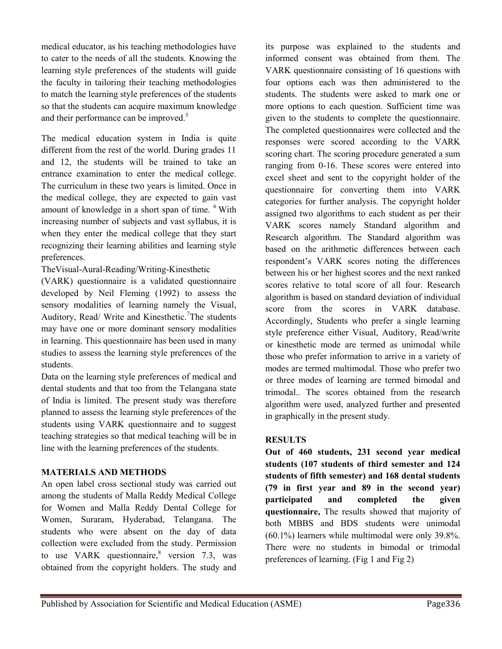medical educator, as his teaching methodologies have to cater to the needs of all the students. Knowing the learning style preferences of the students will guide the faculty in tailoring their teaching methodologies to match the learning style preferences of the students so that the students can acquire maximum knowledge and their performance can be improved.<sup>5</sup>

The medical education system in India is quite different from the rest of the world. During grades 11 and 12, the students will be trained to take an entrance examination to enter the medical college. The curriculum in these two years is limited. Once in the medical college, they are expected to gain vast amount of knowledge in a short span of time. <sup>6</sup> With increasing number of subjects and vast syllabus, it is when they enter the medical college that they start recognizing their learning abilities and learning style preferences.

TheVisual-Aural-Reading/Writing-Kinesthetic

(VARK) questionnaire is a validated questionnaire developed by Neil Fleming (1992) to assess the sensory modalities of learning namely the Visual, Auditory, Read/ Write and Kinesthetic.<sup>7</sup>The students may have one or more dominant sensory modalities in learning. This questionnaire has been used in many studies to assess the learning style preferences of the students.

Data on the learning style preferences of medical and dental students and that too from the Telangana state of India is limited. The present study was therefore planned to assess the learning style preferences of the students using VARK questionnaire and to suggest teaching strategies so that medical teaching will be in line with the learning preferences of the students.

## **MATERIALS AND METHODS**

An open label cross sectional study was carried out among the students of Malla Reddy Medical College for Women and Malla Reddy Dental College for Women, Suraram, Hyderabad, Telangana. The students who were absent on the day of data collection were excluded from the study. Permission to use VARK questionnaire, $8$  version 7.3, was obtained from the copyright holders. The study and

its purpose was explained to the students and informed consent was obtained from them. The VARK questionnaire consisting of 16 questions with four options each was then administered to the students. The students were asked to mark one or more options to each question. Sufficient time was given to the students to complete the questionnaire. The completed questionnaires were collected and the responses were scored according to the VARK scoring chart. The scoring procedure generated a sum ranging from 0-16. These scores were entered into excel sheet and sent to the copyright holder of the questionnaire for converting them into VARK categories for further analysis. The copyright holder assigned two algorithms to each student as per their VARK scores namely Standard algorithm and Research algorithm. The Standard algorithm was based on the arithmetic differences between each respondent's VARK scores noting the differences between his or her highest scores and the next ranked scores relative to total score of all four. Research algorithm is based on standard deviation of individual score from the scores in VARK database. Accordingly, Students who prefer a single learning style preference either Visual, Auditory, Read/write or kinesthetic mode are termed as unimodal while those who prefer information to arrive in a variety of modes are termed multimodal. Those who prefer two or three modes of learning are termed bimodal and trimodal.. The scores obtained from the research algorithm were used, analyzed further and presented in graphically in the present study.

## **RESULTS**

**Out of 460 students, 231 second year medical students (107 students of third semester and 124 students of fifth semester) and 168 dental students (79 in first year and 89 in the second year) participated and completed the given questionnaire,** The results showed that majority of both MBBS and BDS students were unimodal (60.1%) learners while multimodal were only 39.8%. There were no students in bimodal or trimodal preferences of learning. (Fig 1 and Fig 2)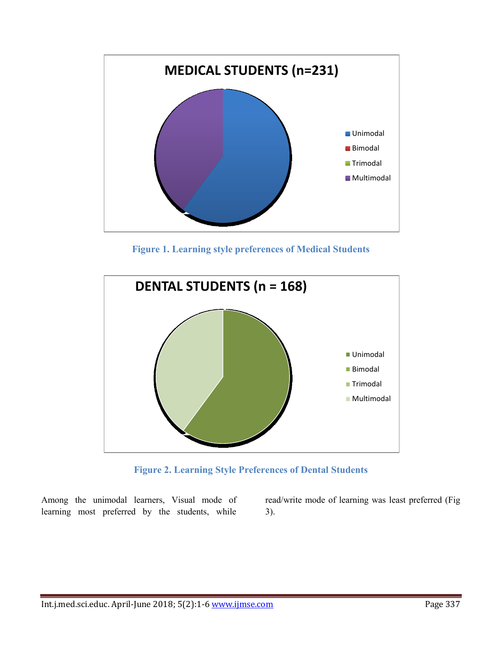

**Figure 1. Learning style preferences of Medical Students**



**Figure 2. Learning Style Preferences of Dental Students**

Among the unimodal learners, Visual mode of learning most preferred by the students, while

read/write mode of learning was least preferred (Fig 3).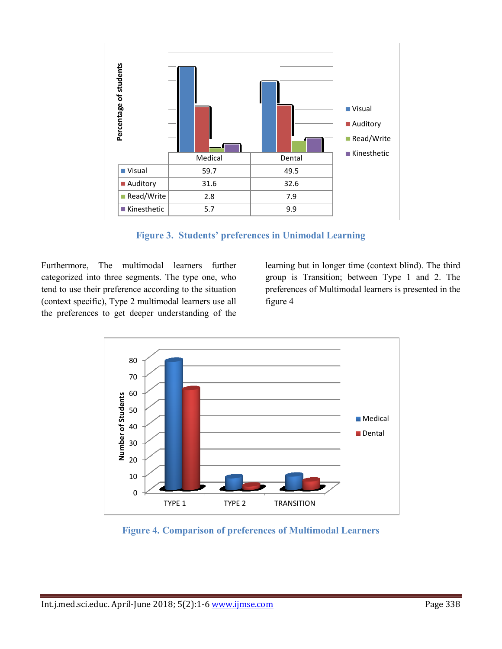

**Figure 3. Students' preferences in Unimodal Learning**

Furthermore, The multimodal learners further categorized into three segments. The type one, who tend to use their preference according to the situation (context specific), Type 2 multimodal learners use all the preferences to get deeper understanding of the

learning but in longer time (context blind). The third group is Transition; between Type 1 and 2. The preferences of Multimodal learners is presented in the figure 4



**Figure 4. Comparison of preferences of Multimodal Learners**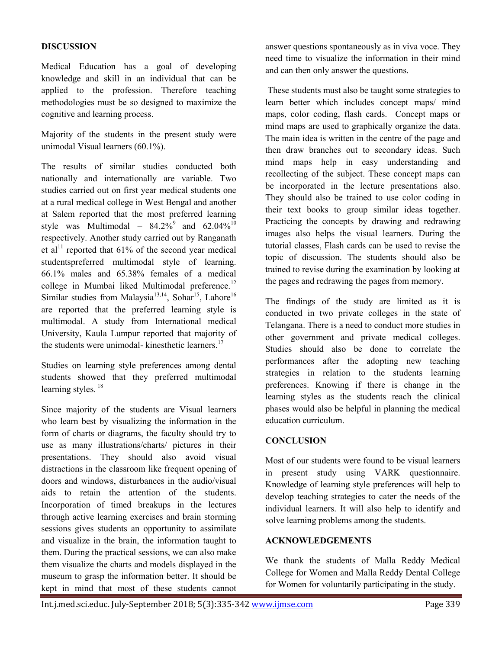### **DISCUSSION**

Medical Education has a goal of developing knowledge and skill in an individual that can be applied to the profession. Therefore teaching methodologies must be so designed to maximize the cognitive and learning process.

Majority of the students in the present study were unimodal Visual learners (60.1%).

The results of similar studies conducted both nationally and internationally are variable. Two studies carried out on first year medical students one at a rural medical college in West Bengal and another at Salem reported that the most preferred learning style was Multimodal –  $84.2\%^{9}$  and  $62.04\%^{10}$ respectively. Another study carried out by Ranganath et al<sup>11</sup> reported that  $61\%$  of the second year medical studentspreferred multimodal style of learning. 66.1% males and 65.38% females of a medical college in Mumbai liked Multimodal preference.<sup>12</sup> Similar studies from Malaysia<sup>13,14</sup>, Sohar<sup>15</sup>, Lahore<sup>16</sup> are reported that the preferred learning style is multimodal. A study from International medical University, Kaula Lumpur reported that majority of the students were unimodal- kinesthetic learners.<sup>17</sup>

Studies on learning style preferences among dental students showed that they preferred multimodal learning styles.<sup>18</sup>

Since majority of the students are Visual learners who learn best by visualizing the information in the form of charts or diagrams, the faculty should try to use as many illustrations/charts/ pictures in their presentations. They should also avoid visual distractions in the classroom like frequent opening of doors and windows, disturbances in the audio/visual aids to retain the attention of the students. Incorporation of timed breakups in the lectures through active learning exercises and brain storming sessions gives students an opportunity to assimilate and visualize in the brain, the information taught to them. During the practical sessions, we can also make them visualize the charts and models displayed in the museum to grasp the information better. It should be kept in mind that most of these students cannot answer questions spontaneously as in viva voce. They need time to visualize the information in their mind and can then only answer the questions.

These students must also be taught some strategies to learn better which includes concept maps/ mind maps, color coding, flash cards. Concept maps or mind maps are used to graphically organize the data. The main idea is written in the centre of the page and then draw branches out to secondary ideas. Such mind maps help in easy understanding and recollecting of the subject. These concept maps can be incorporated in the lecture presentations also. They should also be trained to use color coding in their text books to group similar ideas together. Practicing the concepts by drawing and redrawing images also helps the visual learners. During the tutorial classes, Flash cards can be used to revise the topic of discussion. The students should also be trained to revise during the examination by looking at the pages and redrawing the pages from memory.

The findings of the study are limited as it is conducted in two private colleges in the state of Telangana. There is a need to conduct more studies in other government and private medical colleges. Studies should also be done to correlate the performances after the adopting new teaching strategies in relation to the students learning preferences. Knowing if there is change in the learning styles as the students reach the clinical phases would also be helpful in planning the medical education curriculum.

#### **CONCLUSION**

Most of our students were found to be visual learners in present study using VARK questionnaire. Knowledge of learning style preferences will help to develop teaching strategies to cater the needs of the individual learners. It will also help to identify and solve learning problems among the students.

#### **ACKNOWLEDGEMENTS**

We thank the students of Malla Reddy Medical College for Women and Malla Reddy Dental College for Women for voluntarily participating in the study.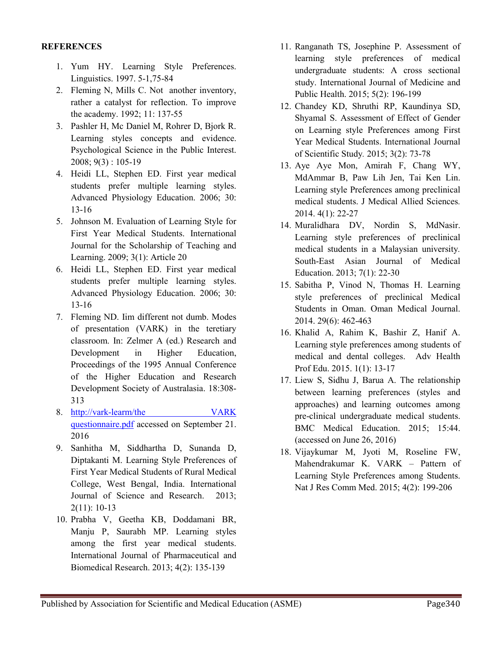#### **REFERENCES**

- 1. Yum HY. Learning Style Preferences. Linguistics. 1997. 5-1,75-84
- 2. Fleming N, Mills C. Not another inventory, rather a catalyst for reflection. To improve the academy. 1992; 11: 137-55
- 3. Pashler H, Mc Daniel M, Rohrer D, Bjork R. Learning styles concepts and evidence. Psychological Science in the Public Interest. 2008; 9(3) : 105-19
- 4. Heidi LL, Stephen ED. First year medical students prefer multiple learning styles. Advanced Physiology Education. 2006; 30: 13-16
- 5. Johnson M. Evaluation of Learning Style for First Year Medical Students. International Journal for the Scholarship of Teaching and Learning. 2009; 3(1): Article 20
- 6. Heidi LL, Stephen ED. First year medical students prefer multiple learning styles. Advanced Physiology Education. 2006; 30: 13-16
- 7. Fleming ND. Iim different not dumb. Modes of presentation (VARK) in the teretiary classroom. In: Zelmer A (ed.) Research and Development in Higher Education, Proceedings of the 1995 Annual Conference of the Higher Education and Research Development Society of Australasia. 18:308- 313
- 8. [http://vark-learm/the VARK](http://vark-learm/the%20VARK%20questionnaire.pdf)  [questionnaire.pdf](http://vark-learm/the%20VARK%20questionnaire.pdf) accessed on September 21. 2016
- 9. Sanhitha M, Siddhartha D, Sunanda D, Diptakanti M. Learning Style Preferences of First Year Medical Students of Rural Medical College, West Bengal, India. International Journal of Science and Research. 2013; 2(11): 10-13
- 10. Prabha V, Geetha KB, Doddamani BR, Manju P, Saurabh MP. Learning styles among the first year medical students. International Journal of Pharmaceutical and Biomedical Research. 2013; 4(2): 135-139
- 11. Ranganath TS, Josephine P. Assessment of learning style preferences of medical undergraduate students: A cross sectional study. International Journal of Medicine and Public Health. 2015; 5(2): 196-199
- 12. Chandey KD, Shruthi RP, Kaundinya SD, Shyamal S. Assessment of Effect of Gender on Learning style Preferences among First Year Medical Students. International Journal of Scientific Study*.* 2015; 3(2): 73-78
- 13. Aye Aye Mon, Amirah F, Chang WY, MdAmmar B, Paw Lih Jen, Tai Ken Lin. Learning style Preferences among preclinical medical students. J Medical Allied Sciences*.* 2014. 4(1): 22-27
- 14. Muralidhara DV, Nordin S, MdNasir. Learning style preferences of preclinical medical students in a Malaysian university*.*  South-East Asian Journal of Medical Education. 2013; 7(1): 22-30
- 15. Sabitha P, Vinod N, Thomas H. Learning style preferences of preclinical Medical Students in Oman. Oman Medical Journal. 2014. 29(6): 462-463
- 16. Khalid A, Rahim K, Bashir Z, Hanif A. Learning style preferences among students of medical and dental colleges. Adv Health Prof Edu. 2015. 1(1): 13-17
- 17. Liew S, Sidhu J, Barua A. The relationship between learning preferences (styles and approaches) and learning outcomes among pre-clinical undergraduate medical students. BMC Medical Education. 2015; 15:44. (accessed on June 26, 2016)
- 18. Vijaykumar M, Jyoti M, Roseline FW, Mahendrakumar K. VARK – Pattern of Learning Style Preferences among Students. Nat J Res Comm Med. 2015; 4(2): 199-206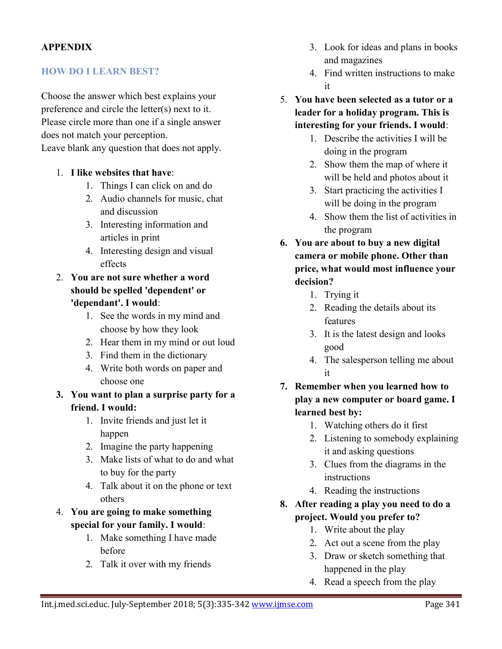# **APPENDIX**

## **HOW DO I LEARN BEST?**

Choose the answer which best explains your preference and circle the letter(s) next to it. Please circle more than one if a single answer does not match your perception. Leave blank any question that does not apply.

- 1. **I like websites that have**:
	- 1. Things I can click on and do
	- 2. Audio channels for music, chat and discussion
	- 3. Interesting information and articles in print
	- 4. Interesting design and visual effects
- 2. **You are not sure whether a word should be spelled 'dependent' or 'dependant'. I would**:
	- 1. See the words in my mind and choose by how they look
	- 2. Hear them in my mind or out loud
	- 3. Find them in the dictionary
	- 4. Write both words on paper and choose one
- **3. You want to plan a surprise party for a friend. I would:** 
	- 1. Invite friends and just let it happen
	- 2. Imagine the party happening
	- 3. Make lists of what to do and what to buy for the party
	- 4. Talk about it on the phone or text others
- 4. **You are going to make something special for your family. I would**:
	- 1. Make something I have made before
	- 2. Talk it over with my friends
- 3. Look for ideas and plans in books and magazines
- 4. Find written instructions to make it
- 5. **You have been selected as a tutor or a leader for a holiday program. This is interesting for your friends. I would**:
	- 1. Describe the activities I will be doing in the program
	- 2. Show them the map of where it will be held and photos about it
	- 3. Start practicing the activities I will be doing in the program
	- 4. Show them the list of activities in the program
- **6. You are about to buy a new digital camera or mobile phone. Other than price, what would most influence your decision?** 
	- 1. Trying it
	- 2. Reading the details about its features
	- 3. It is the latest design and looks good
	- 4. The salesperson telling me about it
- **7. Remember when you learned how to play a new computer or board game. I learned best by:** 
	- 1. Watching others do it first
	- 2. Listening to somebody explaining it and asking questions
	- 3. Clues from the diagrams in the instructions
	- 4. Reading the instructions
- **8. After reading a play you need to do a project. Would you prefer to?** 
	- 1. Write about the play
	- 2. Act out a scene from the play
	- 3. Draw or sketch something that happened in the play
	- 4. Read a speech from the play